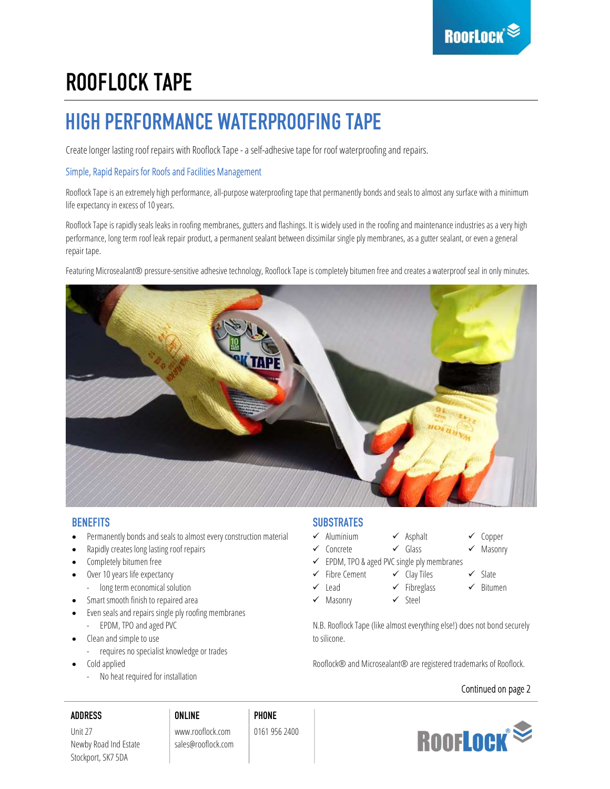# ROOFLOCK TAPE

# HIGH PERFORMANCE WATERPROOFING TAPE

Create longer lasting roof repairs with Rooflock Tape - a self-adhesive tape for roof waterproofing and repairs.

### Simple, Rapid Repairs for Roofs and Facilities Management

Rooflock Tape is an extremely high performance, all-purpose waterproofing tape that permanently bonds and seals to almost any surface with a minimum life expectancy in excess of 10 years.

Rooflock Tape is rapidly seals leaks in roofing membranes, gutters and flashings. It is widely used in the roofing and maintenance industries as a very high performance, long term roof leak repair product, a permanent sealant between dissimilar single ply membranes, as a gutter sealant, or even a general repair tape.

Featuring Microsealant® pressure-sensitive adhesive technology, Rooflock Tape is completely bitumen free and creates a waterproof seal in only minutes.



- Permanently bonds and seals to almost every construction material  $\checkmark$  Aluminium  $\checkmark$  Asphalt  $\checkmark$  Copper
- Rapidly creates long lasting roof repairs  $\checkmark$  concrete  $\checkmark$  Glass  $\checkmark$  Masonry
- 
- Over 10 years life expectancy
- long term economical solution
- Smart smooth finish to repaired area  $\checkmark$  Masonry  $\checkmark$  Steel
- Even seals and repairs single ply roofing membranes - EPDM, TPO and aged PVC
	- Clean and simple to use to silicone.
	- requires no specialist knowledge or trades
- Cold applied
	- No heat required for installation

### BENEFITS SUBSTRATES

- 
- 
- Completely bitumen free **EPDM, TPO & aged PVC** single ply membranes
	- Fibre Cement  $\checkmark$  Clay Tiles  $\checkmark$  Slate
	- $\checkmark$  Lead  $\checkmark$  Fibreglass  $\checkmark$  Bitumen
	-
- 
- 
- 
- N.B. Rooflock Tape (like almost everything else!) does not bond securely

Rooflock® and Microsealant® are registered trademarks of Rooflock.

### Continued on page 2

### ADDRESS ONLINE PHONE

Unit 27 www.rooflock.com 0161 956 2400 Newby Road Ind Estate sales@rooflock.com Stockport, SK7 5DA



- 
- 
- 
- 
- 
-